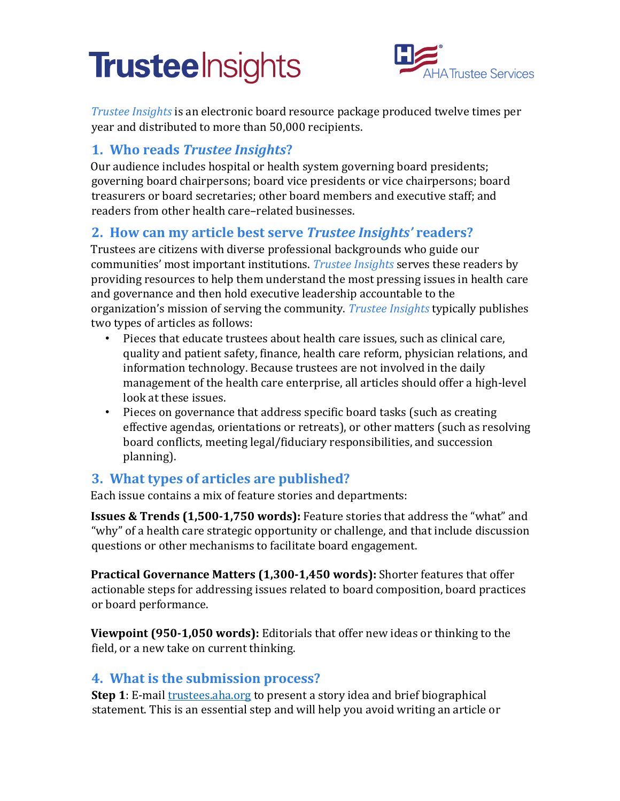# **Trustee** Insights



*Trustee Insights* is an electronic board resource package produced twelve times per year and distributed to more than 50,000 recipients.

### **1. Who reads** *Trustee Insights***?**

Our audience includes hospital or health system governing board presidents; governing board chairpersons; board vice presidents or vice chairpersons; board treasurers or board secretaries; other board members and executive staff; and readers from other health care–related businesses.

# **2. How can my article best serve** *Trustee Insights'* **readers?**

Trustees are citizens with diverse professional backgrounds who guide our communities' most important institutions. *Trustee Insights* serves these readers by providing resources to help them understand the most pressing issues in health care and governance and then hold executive leadership accountable to the organization's mission of serving the community. *Trustee Insights* typically publishes two types of articles as follows:

- Pieces that educate trustees about health care issues, such as clinical care, quality and patient safety, finance, health care reform, physician relations, and information technology. Because trustees are not involved in the daily management of the health care enterprise, all articles should offer a high-level look at these issues.
- Pieces on governance that address specific board tasks (such as creating effective agendas, orientations or retreats), or other matters (such as resolving board conflicts, meeting legal/fiduciary responsibilities, and succession planning).

# **3. What types of articles are published?**

Each issue contains a mix of feature stories and departments:

**Issues & Trends (1,500-1,750 words):** Feature stories that address the "what" and "why" of a health care strategic opportunity or challenge, and that include discussion questions or other mechanisms to facilitate board engagement.

**Practical Governance Matters (1,300-1,450 words):** Shorter features that offer actionable steps for addressing issues related to board composition, board practices or board performance.

**Viewpoint (950-1,050 words):** Editorials that offer new ideas or thinking to the field, or a new take on current thinking.

#### **4. What is the submission process?**

**Step 1**: E-mail *trustees.aha.org* to present a story idea and brief biographical statement. This is an essential step and will help you avoid writing an article or